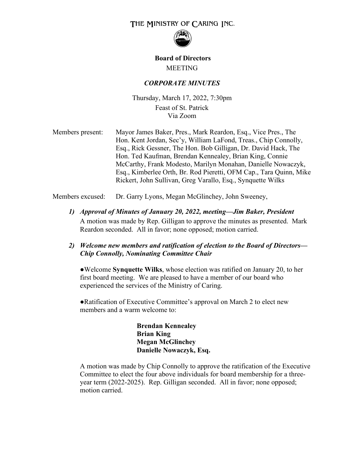# THE MINISTRY OF CARING INC.



# **Board of Directors** MEETING

## *CORPORATE MINUTES*

Thursday, March 17, 2022, 7:30pm Feast of St. Patrick Via Zoom

Members present: Mayor James Baker, Pres., Mark Reardon, Esq., Vice Pres., The Hon. Kent Jordan, Sec'y, William LaFond, Treas., Chip Connolly, Esq., Rick Gessner, The Hon. Bob Gilligan, Dr. David Hack, The Hon. Ted Kaufman, Brendan Kennealey, Brian King, Connie McCarthy, Frank Modesto, Marilyn Monahan, Danielle Nowaczyk, Esq., Kimberlee Orth, Br. Rod Pieretti, OFM Cap., Tara Quinn, Mike Rickert, John Sullivan, Greg Varallo, Esq., Synquette Wilks

Members excused: Dr. Garry Lyons, Megan McGlinchey, John Sweeney,

*1) Approval of Minutes of January 20, 2022, meeting—Jim Baker, President*  A motion was made by Rep. Gilligan to approve the minutes as presented. Mark Reardon seconded. All in favor; none opposed; motion carried.

## *2) Welcome new members and ratification of election to the Board of Directors— Chip Connolly, Nominating Committee Chair*

●Welcome **Synquette Wilks**, whose election was ratified on January 20, to her first board meeting. We are pleased to have a member of our board who experienced the services of the Ministry of Caring.

●Ratification of Executive Committee's approval on March 2 to elect new members and a warm welcome to:

> **Brendan Kennealey Brian King Megan McGlinchey Danielle Nowaczyk, Esq.**

A motion was made by Chip Connolly to approve the ratification of the Executive Committee to elect the four above individuals for board membership for a threeyear term (2022-2025). Rep. Gilligan seconded. All in favor; none opposed; motion carried.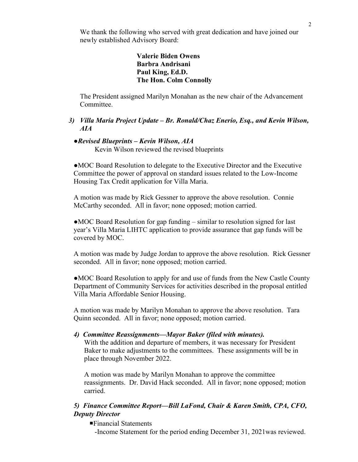We thank the following who served with great dedication and have joined our newly established Advisory Board:

## **Valerie Biden Owens Barbra Andrisani Paul King, Ed.D. The Hon. Colm Connolly**

The President assigned Marilyn Monahan as the new chair of the Advancement Committee.

## *3) Villa Maria Project Update – Br. Ronald/Chaz Enerio, Esq., and Kevin Wilson, AIA*

## *●Revised Blueprints – Kevin Wilson, AIA*

Kevin Wilson reviewed the revised blueprints

●MOC Board Resolution to delegate to the Executive Director and the Executive Committee the power of approval on standard issues related to the Low-Income Housing Tax Credit application for Villa Maria.

A motion was made by Rick Gessner to approve the above resolution. Connie McCarthy seconded. All in favor; none opposed; motion carried.

●MOC Board Resolution for gap funding – similar to resolution signed for last year's Villa Maria LIHTC application to provide assurance that gap funds will be covered by MOC.

A motion was made by Judge Jordan to approve the above resolution. Rick Gessner seconded. All in favor; none opposed; motion carried.

●MOC Board Resolution to apply for and use of funds from the New Castle County Department of Community Services for activities described in the proposal entitled Villa Maria Affordable Senior Housing.

A motion was made by Marilyn Monahan to approve the above resolution. Tara Quinn seconded. All in favor; none opposed; motion carried.

### *4) Committee Reassignments—Mayor Baker (filed with minutes).*

With the addition and departure of members, it was necessary for President Baker to make adjustments to the committees. These assignments will be in place through November 2022.

A motion was made by Marilyn Monahan to approve the committee reassignments. Dr. David Hack seconded. All in favor; none opposed; motion carried.

## *5) Finance Committee Report—Bill LaFond, Chair & Karen Smith, CPA, CFO, Deputy Director*

Financial Statements

-Income Statement for the period ending December 31, 2021was reviewed.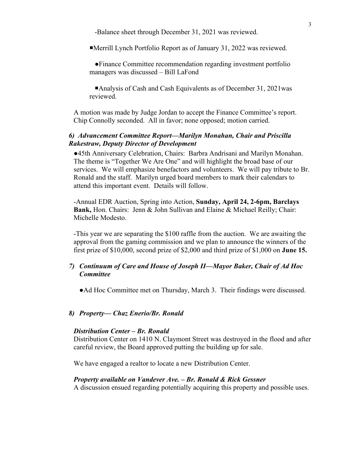-Balance sheet through December 31, 2021 was reviewed.

Merrill Lynch Portfolio Report as of January 31, 2022 was reviewed.

●Finance Committee recommendation regarding investment portfolio managers was discussed – Bill LaFond

Analysis of Cash and Cash Equivalents as of December 31, 2021was reviewed.

A motion was made by Judge Jordan to accept the Finance Committee's report. Chip Connolly seconded. All in favor; none opposed; motion carried.

## *6) Advancement Committee Report—Marilyn Monahan, Chair and Priscilla Rakestraw, Deputy Director of Development*

●45th Anniversary Celebration, Chairs: Barbra Andrisani and Marilyn Monahan. The theme is "Together We Are One" and will highlight the broad base of our services. We will emphasize benefactors and volunteers. We will pay tribute to Br. Ronald and the staff. Marilyn urged board members to mark their calendars to attend this important event. Details will follow.

-Annual EDR Auction, Spring into Action, **Sunday, April 24, 2-6pm, Barclays Bank,** Hon. Chairs: Jenn & John Sullivan and Elaine & Michael Reilly; Chair: Michelle Modesto.

-This year we are separating the \$100 raffle from the auction. We are awaiting the approval from the gaming commission and we plan to announce the winners of the first prize of \$10,000, second prize of \$2,000 and third prize of \$1,000 on **June 15.**

## *7) Continuum of Care and House of Joseph II—Mayor Baker, Chair of Ad Hoc Committee*

●Ad Hoc Committee met on Thursday, March 3. Their findings were discussed.

#### *8) Property— Chaz Enerio/Br. Ronald*

#### *Distribution Center – Br. Ronald*

Distribution Center on 1410 N. Claymont Street was destroyed in the flood and after careful review, the Board approved putting the building up for sale.

We have engaged a realtor to locate a new Distribution Center.

#### *Property available on Vandever Ave. – Br. Ronald & Rick Gessner*

A discussion ensued regarding potentially acquiring this property and possible uses.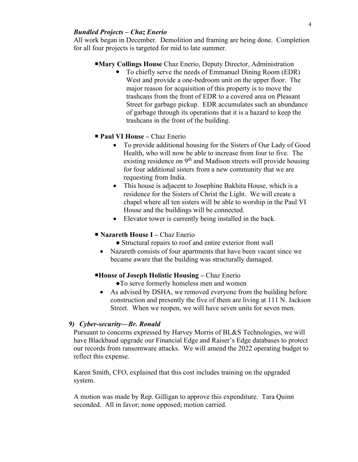### *Bundled Projects – Chaz Enerio*

All work began in December. Demolition and framing are being done. Completion for all four projects is targeted for mid to late summer.

### **Mary Collings House** Chaz Enerio, Deputy Director, Administration

 To chiefly serve the needs of Emmanuel Dining Room (EDR) West and provide a one-bedroom unit on the upper floor. The major reason for acquisition of this property is to move the trashcans from the front of EDR to a covered area on Pleasant Street for garbage pickup. EDR accumulates such an abundance of garbage through its operations that it is a hazard to keep the trashcans in the front of the building.

## **Paul VI House –** Chaz Enerio

- To provide additional housing for the Sisters of Our Lady of Good Health, who will now be able to increase from four to five. The existing residence on  $9<sup>th</sup>$  and Madison streets will provide housing for four additional sisters from a new community that we are requesting from India.
- This house is adjacent to Josephine Bakhita House, which is a residence for the Sisters of Christ the Light. We will create a chapel where all ten sisters will be able to worship in the Paul VI House and the buildings will be connected.
- Elevator tower is currently being installed in the back.

#### **Nazareth House I –** Chaz Enerio

- Structural repairs to roof and entire exterior front wall
- Nazareth consists of four apartments that have been vacant since we became aware that the building was structurally damaged.

### **House of Joseph Holistic Housing –** Chaz Enerio

- ●To serve formerly homeless men and women
- As advised by DSHA, we removed everyone from the building before construction and presently the five of them are living at 111 N. Jackson Street. When we reopen, we will have seven units for seven men.

### *9) Cyber-security—Br. Ronald*

Pursuant to concerns expressed by Harvey Morris of BL&S Technologies, we will have Blackbaud upgrade our Financial Edge and Raiser's Edge databases to protect our records from ransomware attacks. We will amend the 2022 operating budget to reflect this expense.

Karen Smith, CFO, explained that this cost includes training on the upgraded system.

A motion was made by Rep. Gilligan to approve this expenditure. Tara Quinn seconded. All in favor; none opposed; motion carried.